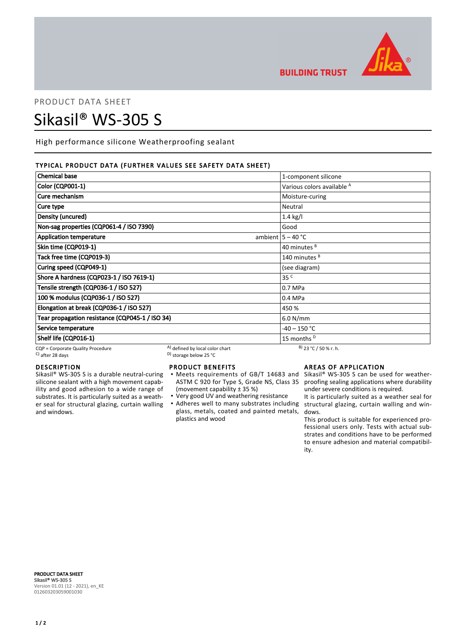

**BUILDING TRUST** 

# PRODUCT DATA SHEET Sikasil® WS-305 S

High performance silicone Weatherproofing sealant

# TYPICAL PRODUCT DATA (FURTHER VALUES SEE SAFETY DATA SHEET)

| <b>Chemical base</b>                            |                                 | 1-component silicone                  |
|-------------------------------------------------|---------------------------------|---------------------------------------|
| <b>Color (CQP001-1)</b>                         |                                 | Various colors available <sup>A</sup> |
| Cure mechanism                                  |                                 | Moisture-curing                       |
| Cure type                                       |                                 | Neutral                               |
| Density (uncured)                               |                                 | $1.4$ kg/l                            |
| Non-sag properties (CQP061-4 / ISO 7390)        |                                 | Good                                  |
| <b>Application temperature</b>                  |                                 | ambient $ 5 - 40$ °C                  |
| Skin time (CQP019-1)                            |                                 | 40 minutes <sup>B</sup>               |
| Tack free time (CQP019-3)                       |                                 | 140 minutes <sup>B</sup>              |
| Curing speed (CQP049-1)                         |                                 | (see diagram)                         |
| Shore A hardness (CQP023-1 / ISO 7619-1)        |                                 | 35 <sup>C</sup>                       |
| Tensile strength (CQP036-1 / ISO 527)           |                                 | $0.7$ MPa                             |
| 100 % modulus (CQP036-1 / ISO 527)              |                                 | 0.4 MPa                               |
| Elongation at break (CQP036-1 / ISO 527)        |                                 | 450 %                                 |
| Tear propagation resistance (CQP045-1 / ISO 34) |                                 | 6.0 N/mm                              |
| Service temperature                             |                                 | -40 – 150 °C                          |
| Shelf life (CQP016-1)                           |                                 | 15 months <sup>D</sup>                |
| CQP = Corporate Quality Procedure               | A) defined by local color chart | $B)$ 23 °C / 50 % r. h.               |

 $\sim$  D) storage below 25 °C

# DESCRIPTION

Sikasil® WS-305 S is a durable neutral-curing silicone sealant with a high movement capability and good adhesion to a wide range of substrates. It is particularly suited as a weather seal for structural glazing, curtain walling and windows.

# PRODUCT BENEFITS

- Meets requirements of GB/T 14683 and Sikasil® WS-305 S can be used for weather-ASTM C 920 for Type S, Grade NS, Class 35 (movement capability ± 35 %) ▪
- Very good UV and weathering resistance
- Adheres well to many substrates including structural glazing, curtain walling and winglass, metals, coated and painted metals, plastics and wood

# AREAS OF APPLICATION

proofing sealing applications where durability under severe conditions is required.

It is particularly suited as a weather seal for dows.

This product is suitable for experienced professional users only. Tests with actual substrates and conditions have to be performed to ensure adhesion and material compatibility.

PRODUCT DATA SHEET Sikasil® WS-305 S Version 01.01 (12 - 2021), en\_KE 012603203059001030